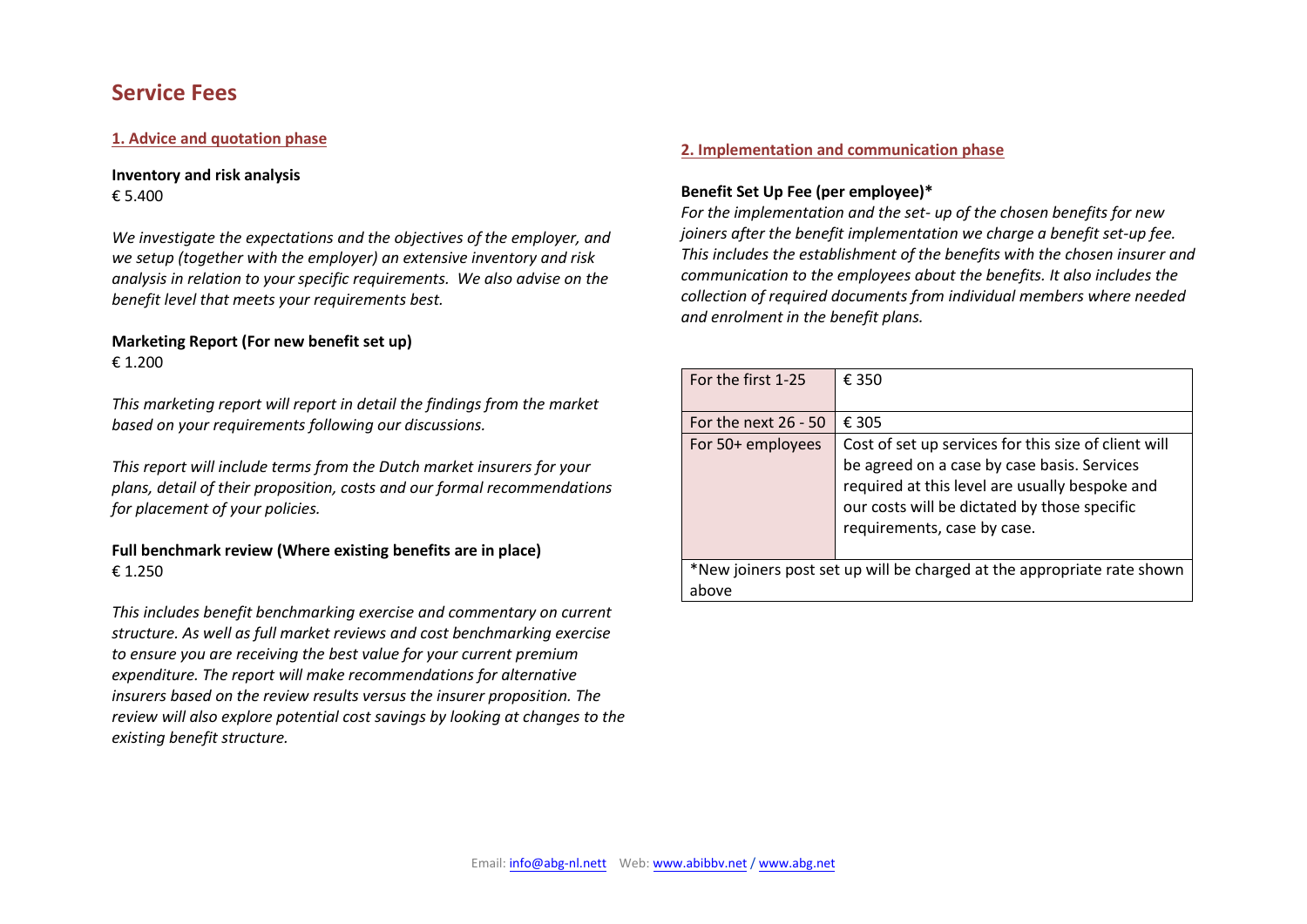# **Service Fees**

## **1. Advice and quotation phase**

**Inventory and risk analysis**  € 5.400

*We investigate the expectations and the objectives of the employer, and we setup (together with the employer) an extensive inventory and risk analysis in relation to your specific requirements. We also advise on the benefit level that meets your requirements best.*

# **Marketing Report (For new benefit set up)**   $£ 1.200$

*This marketing report will report in detail the findings from the market based on your requirements following our discussions.* 

*This report will include terms from the Dutch market insurers for your plans, detail of their proposition, costs and our formal recommendations for placement of your policies.* 

# **Full benchmark review (Where existing benefits are in place)** € 1.250

*This includes benefit benchmarking exercise and commentary on current structure. As well as full market reviews and cost benchmarking exercise to ensure you are receiving the best value for your current premium expenditure. The report will make recommendations for alternative insurers based on the review results versus the insurer proposition. The review will also explore potential cost savings by looking at changes to the existing benefit structure.* 

#### **2. Implementation and communication phase**

# **Benefit Set Up Fee (per employee)\***

*For the implementation and the set- up of the chosen benefits for new joiners after the benefit implementation we charge a benefit set-up fee. This includes the establishment of the benefits with the chosen insurer and communication to the employees about the benefits. It also includes the collection of required documents from individual members where needed and enrolment in the benefit plans.*

| For the first 1-25                                                              | € 350                                                                                                                                                                                                                                |
|---------------------------------------------------------------------------------|--------------------------------------------------------------------------------------------------------------------------------------------------------------------------------------------------------------------------------------|
| For the next $26 - 50$                                                          | € 305                                                                                                                                                                                                                                |
| For 50+ employees                                                               | Cost of set up services for this size of client will<br>be agreed on a case by case basis. Services<br>required at this level are usually bespoke and<br>our costs will be dictated by those specific<br>requirements, case by case. |
| *New joiners post set up will be charged at the appropriate rate shown<br>above |                                                                                                                                                                                                                                      |

Alexander Beard International Benefits B.V. is deemed authorised and regulated by the Financial Conduct Authority. Details of the Temporary Permissions Regime, which allows EEA-based firms to operate in the UK for a limited period while seeking full authorisation, are available on the Financial Conduct Authority's [website. Referen](http://www.abg.net/)ce No. 725120. Email: [info@abg-nl.nett](mailto:info@abg-nl.nett) Web: [www.abibbv.net](http://www.abibbv.net/) / www.abg.net